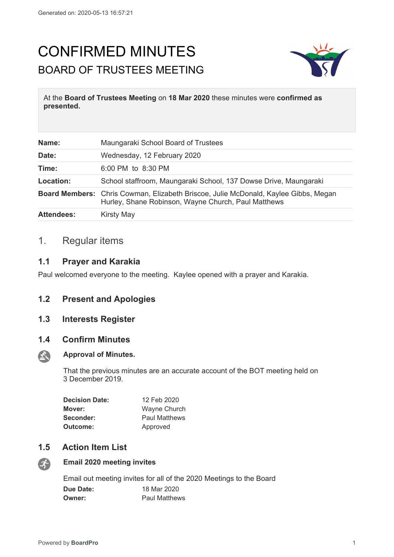# CONFIRMED MINUTES BOARD OF TRUSTEES MEETING



At the **Board of Trustees Meeting** on **18 Mar 2020** these minutes were **confirmed as presented.**

| Name:             | Maungaraki School Board of Trustees                                                                                                               |
|-------------------|---------------------------------------------------------------------------------------------------------------------------------------------------|
| Date:             | Wednesday, 12 February 2020                                                                                                                       |
| Time:             | 6:00 PM to 8:30 PM                                                                                                                                |
| Location:         | School staffroom, Maungaraki School, 137 Dowse Drive, Maungaraki                                                                                  |
|                   | <b>Board Members:</b> Chris Cowman, Elizabeth Briscoe, Julie McDonald, Kaylee Gibbs, Megan<br>Hurley, Shane Robinson, Wayne Church, Paul Matthews |
| <b>Attendees:</b> | <b>Kirsty May</b>                                                                                                                                 |

# 1. Regular items

## **1.1 Prayer and Karakia**

Paul welcomed everyone to the meeting. Kaylee opened with a prayer and Karakia.

## **1.2 Present and Apologies**

## **1.3 Interests Register**

### **1.4 Confirm Minutes**



#### **Approval of Minutes.**

That the previous minutes are an accurate account of the BOT meeting held on 3 December 2019.

| <b>Decision Date:</b> | 12 Feb 2020          |
|-----------------------|----------------------|
| Mover:                | Wayne Church         |
| Seconder:             | <b>Paul Matthews</b> |
| Outcome:              | Approved             |

# **1.5 Action Item List**



# **Email 2020 meeting invites**

Email out meeting invites for all of the 2020 Meetings to the Board

| <b>Due Date:</b> | 18 Mar 2020          |
|------------------|----------------------|
| <b>Owner:</b>    | <b>Paul Matthews</b> |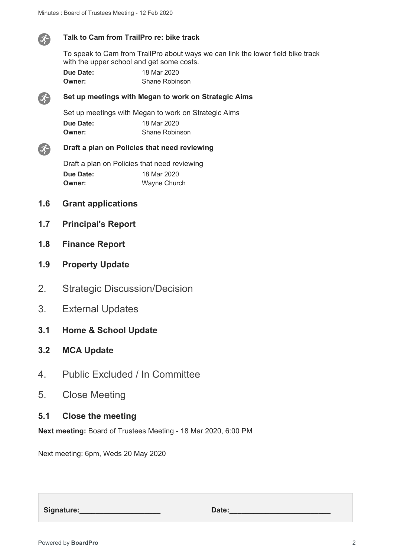

#### **Talk to Cam from TrailPro re: bike track**

To speak to Cam from TrailPro about ways we can link the lower field bike track with the upper school and get some costs.

| Due Date: | 18 Mar 2020           |
|-----------|-----------------------|
| Owner:    | <b>Shane Robinson</b> |



#### **Set up meetings with Megan to work on Strategic Aims**

Set up meetings with Megan to work on Strategic Aims **Due Date:** 18 Mar 2020 **Owner:** Shane Robinson



#### **Draft a plan on Policies that need reviewing**

Draft a plan on Policies that need reviewing **Due Date:** 18 Mar 2020 **Owner:** Wayne Church

- **1.6 Grant applications**
- **1.7 Principal's Report**
- **1.8 Finance Report**
- **1.9 Property Update**
- 2. Strategic Discussion/Decision
- 3. External Updates
- **3.1 Home & School Update**
- **3.2 MCA Update**
- 4. Public Excluded / In Committee
- 5. Close Meeting

## **5.1 Close the meeting**

**Next meeting:** Board of Trustees Meeting - 18 Mar 2020, 6:00 PM

Next meeting: 6pm, Weds 20 May 2020

Signature: **Constanting Signature: Date:**